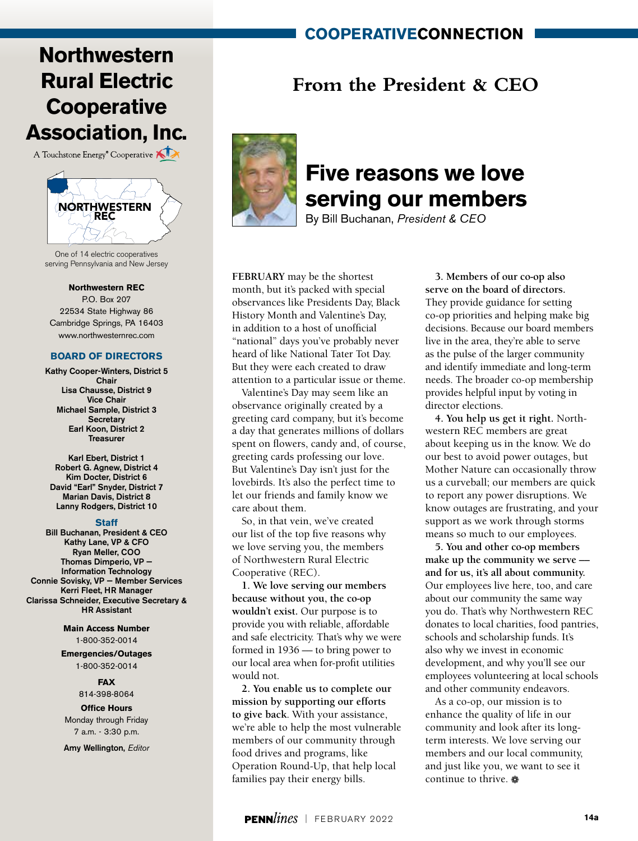### **cooperativeconnection**

# **Northwestern Rural Electric Cooperative Association, Inc.**

A Touchstone Energy<sup>®</sup> Cooperative



One of 14 electric cooperatives serving Pennsylvania and New Jersey

#### **Northwestern REC**

P.O. Box 207 22534 State Highway 86 Cambridge Springs, PA 16403 www.northwesternrec.com

### **BOARD OF DIRECTORS**

Kathy Cooper-Winters, District 5 Chair Lisa Chausse, District 9 Vice Chair Michael Sample, District 3 **Secretary** Earl Koon, District 2 Treasurer

Karl Ebert, District 1 Robert G. Agnew, District 4 Kim Docter, District 6 David "Earl" Snyder, District 7 Marian Davis, District 8 Lanny Rodgers, District 10

#### **Staff**

Bill Buchanan, President & CEO Kathy Lane, VP & CFO Ryan Meller, COO Thomas Dimperio, VP — Information Technology Connie Sovisky, VP — Member Services Kerri Fleet, HR Manager Clarissa Schneider, Executive Secretary & HR Assistant

> **Main Access Number** 1-800-352-0014

**Emergencies/Outages** 1-800-352-0014

### **FAX**

814-398-8064

**Office Hours**

Monday through Friday 7 a.m. - 3:30 p.m.

Amy Wellington, *Editor*

## **From the President & CEO**



## **Five reasons we love serving our members**

By Bill Buchanan, *President & CEO*

**FEBRUARY** may be the shortest month, but it's packed with special observances like Presidents Day, Black History Month and Valentine's Day, in addition to a host of unofficial "national" days you've probably never heard of like National Tater Tot Day. But they were each created to draw attention to a particular issue or theme.

Valentine's Day may seem like an observance originally created by a greeting card company, but it's become a day that generates millions of dollars spent on flowers, candy and, of course, greeting cards professing our love. But Valentine's Day isn't just for the lovebirds. It's also the perfect time to let our friends and family know we care about them.

So, in that vein, we've created our list of the top five reasons why we love serving you, the members of Northwestern Rural Electric Cooperative (REC).

**1. We love serving our members because without you, the co-op wouldn't exist.** Our purpose is to provide you with reliable, affordable and safe electricity. That's why we were formed in 1936 –– to bring power to our local area when for-profit utilities would not.

**2. You enable us to complete our mission by supporting our efforts to give back**. With your assistance, we're able to help the most vulnerable members of our community through food drives and programs, like Operation Round-Up, that help local families pay their energy bills.

**3. Members of our co-op also serve on the board of directors.** They provide guidance for setting co-op priorities and helping make big decisions. Because our board members live in the area, they're able to serve as the pulse of the larger community and identify immediate and long-term needs. The broader co-op membership provides helpful input by voting in director elections.

**4. You help us get it right.** Northwestern REC members are great about keeping us in the know. We do our best to avoid power outages, but Mother Nature can occasionally throw us a curveball; our members are quick to report any power disruptions. We know outages are frustrating, and your support as we work through storms means so much to our employees.

**5. You and other co-op members make up the community we serve –– and for us, it's all about community.** Our employees live here, too, and care about our community the same way you do. That's why Northwestern REC donates to local charities, food pantries, schools and scholarship funds. It's also why we invest in economic development, and why you'll see our employees volunteering at local schools and other community endeavors.

As a co-op, our mission is to enhance the quality of life in our community and look after its longterm interests. We love serving our members and our local community, and just like you, we want to see it continue to thrive.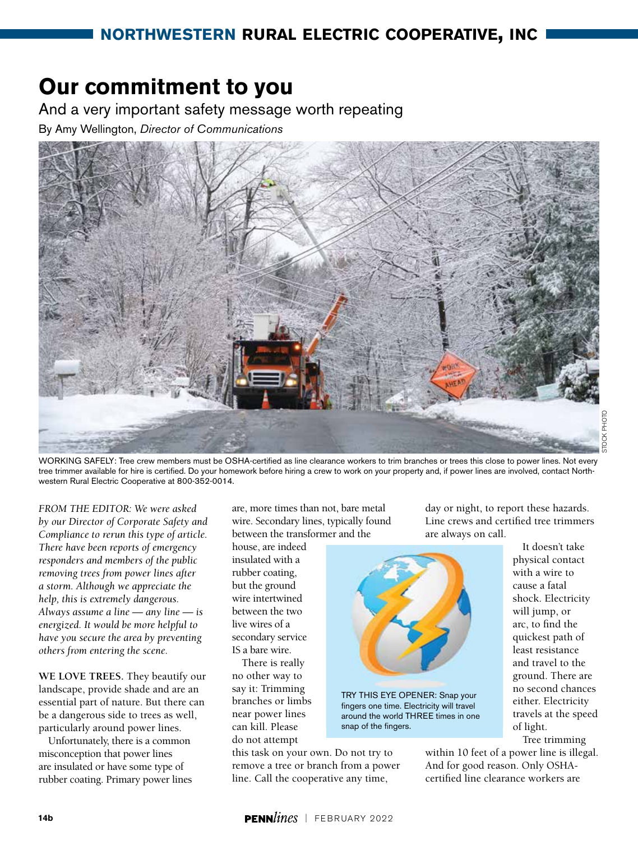# **Our commitment to you**

And a very important safety message worth repeating

By Amy Wellington, *Director of Communications*



STOCK PHOTO

WORKING SAFELY: Tree crew members must be OSHA-certified as line clearance workers to trim branches or trees this close to power lines. Not every tree trimmer available for hire is certified. Do your homework before hiring a crew to work on your property and, if power lines are involved, contact Northwestern Rural Electric Cooperative at 800-352-0014.

*FROM THE EDITOR: We were asked by our Director of Corporate Safety and Compliance to rerun this type of article. There have been reports of emergency responders and members of the public removing trees from power lines after a storm. Although we appreciate the help, this is extremely dangerous. Always assume a line — any line — is energized. It would be more helpful to have you secure the area by preventing others from entering the scene.* 

**WE LOVE TREES.** They beautify our landscape, provide shade and are an essential part of nature. But there can be a dangerous side to trees as well, particularly around power lines.

Unfortunately, there is a common misconception that power lines are insulated or have some type of rubber coating. Primary power lines are, more times than not, bare metal wire. Secondary lines, typically found between the transformer and the

house, are indeed insulated with a rubber coating, but the ground wire intertwined between the two live wires of a secondary service IS a bare wire.

There is really no other way to say it: Trimming branches or limbs near power lines can kill. Please do not attempt

this task on your own. Do not try to remove a tree or branch from a power line. Call the cooperative any time,

day or night, to report these hazards. Line crews and certified tree trimmers are always on call.



TRY THIS EYE OPENER: Snap your fingers one time. Electricity will travel around the world THREE times in one snap of the fingers.

It doesn't take physical contact with a wire to cause a fatal shock. Electricity will jump, or arc, to find the quickest path of least resistance and travel to the ground. There are no second chances either. Electricity travels at the speed of light.

Tree trimming

within 10 feet of a power line is illegal. And for good reason. Only OSHAcertified line clearance workers are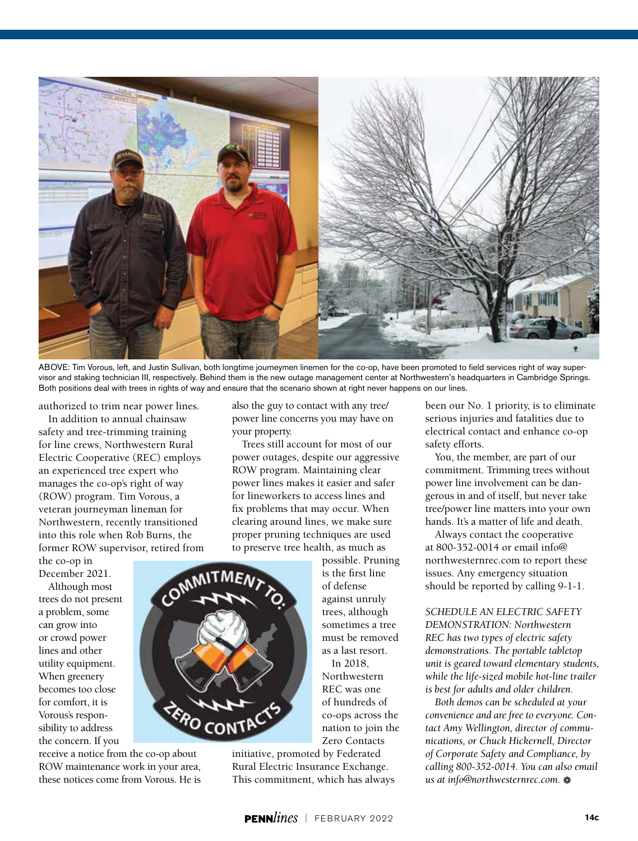

ABOVE: Tim Vorous, left, and Justin Sullivan, both longtime journeymen linemen for the co-op, have been promoted to field services right of way supervisor and staking technician III, respectively. Behind them is the new outage management center at Northwestern's headquarters in Cambridge Springs. Both positions deal with trees in rights of way and ensure that the scenario shown at right never happens on our lines.

authorized to trim near power lines.

In addition to annual chainsaw safety and tree-trimming training for line crews, Northwestern Rural Electric Cooperative (REC) employs an experienced tree expert who manages the co-op's right of way (ROW) program. Tim Vorous, a veteran journeyman lineman for Northwestern, recently transitioned into this role when Rob Burns, the former ROW supervisor, retired from

the co-op in December 2021.

Although most trees do not present a problem, some can grow into or crowd power lines and other utility equipment. When greenery becomes too close for comfort, it is Vorous's responsibility to address the concern. If you

receive a notice from the co-op about ROW maintenance work in your area, these notices come from Vorous. He is also the guy to contact with any tree/ power line concerns you may have on your property.

Trees still account for most of our power outages, despite our aggressive ROW program. Maintaining clear power lines makes it easier and safer for lineworkers to access lines and fix problems that may occur. When clearing around lines, we make sure proper pruning techniques are used to preserve tree health, as much as

possible. Pruning is the first line of defense against unruly trees, although sometimes a tree must be removed as a last resort.

In 2018, Northwestern REC was one of hundreds of co-ops across the nation to join the Zero Contacts

initiative, promoted by Federated Rural Electric Insurance Exchange. This commitment, which has always been our No. 1 priority, is to eliminate serious injuries and fatalities due to electrical contact and enhance co-op safety efforts.

You, the member, are part of our commitment. Trimming trees without power line involvement can be dangerous in and of itself, but never take tree/power line matters into your own hands. It's a matter of life and death.

Always contact the cooperative at 800-352-0014 or email info@ northwesternrec.com to report these issues. Any emergency situation should be reported by calling 9-1-1.

*SCHEDULE AN ELECTRIC SAFETY DEMONSTRATION: Northwestern REC has two types of electric safety demonstrations. The portable tabletop unit is geared toward elementary students, while the life-sized mobile hot-line trailer is best for adults and older children.*

*Both demos can be scheduled at your convenience and are free to everyone. Contact Amy Wellington, director of communications, or Chuck Hickernell, Director of Corporate Safety and Compliance, by calling 800-352-0014. You can also email us at info@northwesternrec.com.*